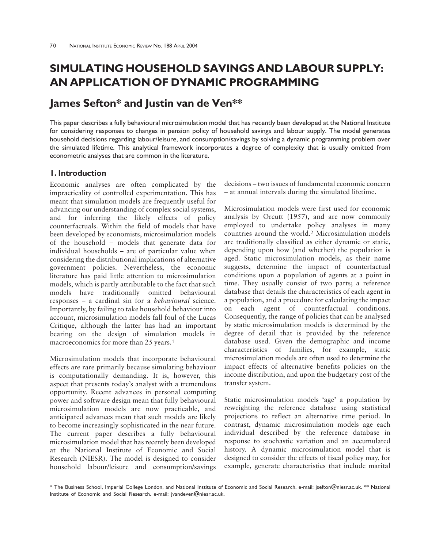# **SIMULATING HOUSEHOLD SAVINGS AND LABOUR SUPPLY: AN APPLICATION OF DYNAMIC PROGRAMMING**

# **James Sefton\* and Justin van de Ven\*\***

This paper describes a fully behavioural microsimulation model that has recently been developed at the National Institute for considering responses to changes in pension policy of household savings and labour supply. The model generates household decisions regarding labour/leisure, and consumption/savings by solving a dynamic programming problem over the simulated lifetime. This analytical framework incorporates a degree of complexity that is usually omitted from econometric analyses that are common in the literature.

# **1. Introduction**

Economic analyses are often complicated by the impracticality of controlled experimentation. This has meant that simulation models are frequently useful for advancing our understanding of complex social systems, and for inferring the likely effects of policy counterfactuals. Within the field of models that have been developed by economists, microsimulation models of the household – models that generate data for individual households – are of particular value when considering the distributional implications of alternative government policies. Nevertheless, the economic literature has paid little attention to microsimulation models, which is partly attributable to the fact that such models have traditionally omitted behavioural responses – a cardinal sin for a *behavioural* science. Importantly, by failing to take household behaviour into account, microsimulation models fall foul of the Lucas Critique, although the latter has had an important bearing on the design of simulation models in macroeconomics for more than 25 years.1

Microsimulation models that incorporate behavioural effects are rare primarily because simulating behaviour is computationally demanding. It is, however, this aspect that presents today's analyst with a tremendous opportunity. Recent advances in personal computing power and software design mean that fully behavioural microsimulation models are now practicable, and anticipated advances mean that such models are likely to become increasingly sophisticated in the near future. The current paper describes a fully behavioural microsimulation model that has recently been developed at the National Institute of Economic and Social Research (NIESR). The model is designed to consider household labour/leisure and consumption/savings

decisions – two issues of fundamental economic concern – at annual intervals during the simulated lifetime.

Microsimulation models were first used for economic analysis by Orcutt (1957), and are now commonly employed to undertake policy analyses in many countries around the world.2 Microsimulation models are traditionally classified as either dynamic or static, depending upon how (and whether) the population is aged. Static microsimulation models, as their name suggests, determine the impact of counterfactual conditions upon a population of agents at a point in time. They usually consist of two parts; a reference database that details the characteristics of each agent in a population, and a procedure for calculating the impact on each agent of counterfactual conditions. Consequently, the range of policies that can be analysed by static microsimulation models is determined by the degree of detail that is provided by the reference database used. Given the demographic and income characteristics of families, for example, static microsimulation models are often used to determine the impact effects of alternative benefits policies on the income distribution, and upon the budgetary cost of the transfer system.

Static microsimulation models 'age' a population by reweighting the reference database using statistical projections to reflect an alternative time period. In contrast, dynamic microsimulation models age each individual described by the reference database in response to stochastic variation and an accumulated history. A dynamic microsimulation model that is designed to consider the effects of fiscal policy may, for example, generate characteristics that include marital

\* The Business School, Imperial College London, and National Institute of Economic and Social Research. e-mail: jsefton@niesr.ac.uk. \*\* National Institute of Economic and Social Research. e-mail: jvandeven@niesr.ac.uk.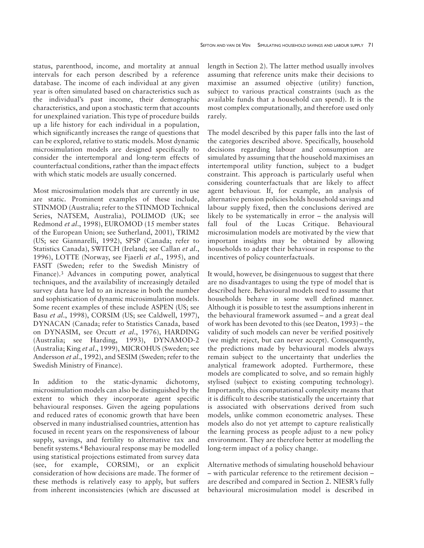status, parenthood, income, and mortality at annual intervals for each person described by a reference database. The income of each individual at any given year is often simulated based on characteristics such as the individual's past income, their demographic characteristics, and upon a stochastic term that accounts for unexplained variation. This type of procedure builds up a life history for each individual in a population, which significantly increases the range of questions that can be explored, relative to static models. Most dynamic microsimulation models are designed specifically to consider the intertemporal and long-term effects of counterfactual conditions, rather than the impact effects with which static models are usually concerned.

Most microsimulation models that are currently in use are static. Prominent examples of these include, STINMOD (Australia; refer to the STINMOD Technical Series, NATSEM, Australia), POLIMOD (UK; see Redmond *et al*., 1998), EUROMOD (15 member states of the European Union; see Sutherland, 2001), TRIM2 (US; see Giannarelli, 1992), SPSP (Canada; refer to Statistics Canada), SWITCH (Ireland; see Callan *et al*., 1996), LOTTE (Norway, see Fjaerli *et al*., 1995), and FASIT (Sweden; refer to the Swedish Ministry of Finance).3 Advances in computing power, analytical techniques, and the availability of increasingly detailed survey data have led to an increase in both the number and sophistication of dynamic microsimulation models. Some recent examples of these include ASPEN (US; see Basu *et al*., 1998), CORSIM (US; see Caldwell, 1997), DYNACAN (Canada; refer to Statistics Canada, based on DYNASIM, see Orcutt *et al*., 1976), HARDING (Australia; see Harding, 1993), DYNAMOD-2 (Australia; King *et al*., 1999), MICROHUS (Sweden; see Andersson *et al*., 1992), and SESIM (Sweden; refer to the Swedish Ministry of Finance).

In addition to the static-dynamic dichotomy, microsimulation models can also be distinguished by the extent to which they incorporate agent specific behavioural responses. Given the ageing populations and reduced rates of economic growth that have been observed in many industrialised countries, attention has focused in recent years on the responsiveness of labour supply, savings, and fertility to alternative tax and benefit systems.4 Behavioural response may be modelled using statistical projections estimated from survey data (see, for example, CORSIM), or an explicit consideration of how decisions are made. The former of these methods is relatively easy to apply, but suffers from inherent inconsistencies (which are discussed at length in Section 2). The latter method usually involves assuming that reference units make their decisions to maximise an assumed objective (utility) function, subject to various practical constraints (such as the available funds that a household can spend). It is the most complex computationally, and therefore used only rarely.

The model described by this paper falls into the last of the categories described above. Specifically, household decisions regarding labour and consumption are simulated by assuming that the household maximises an intertemporal utility function, subject to a budget constraint. This approach is particularly useful when considering counterfactuals that are likely to affect agent behaviour. If, for example, an analysis of alternative pension policies holds household savings and labour supply fixed, then the conclusions derived are likely to be systematically in error – the analysis will fall foul of the Lucas Critique. Behavioural microsimulation models are motivated by the view that important insights may be obtained by allowing households to adapt their behaviour in response to the incentives of policy counterfactuals.

It would, however, be disingenuous to suggest that there are no disadvantages to using the type of model that is described here. Behavioural models need to assume that households behave in some well defined manner. Although it is possible to test the assumptions inherent in the behavioural framework assumed – and a great deal of work has been devoted to this (see Deaton, 1993) – the validity of such models can never be verified positively (we might reject, but can never accept). Consequently, the predictions made by behavioural models always remain subject to the uncertainty that underlies the analytical framework adopted. Furthermore, these models are complicated to solve, and so remain highly stylised (subject to existing computing technology). Importantly, this computational complexity means that it is difficult to describe statistically the uncertainty that is associated with observations derived from such models, unlike common econometric analyses. These models also do not yet attempt to capture realistically the learning process as people adjust to a new policy environment. They are therefore better at modelling the long-term impact of a policy change.

Alternative methods of simulating household behaviour – with particular reference to the retirement decision – are described and compared in Section 2. NIESR's fully behavioural microsimulation model is described in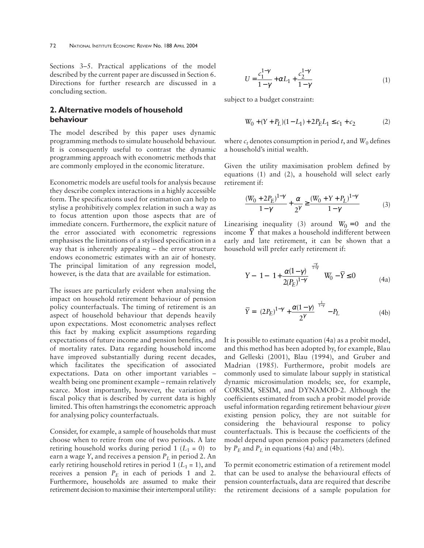Sections 3–5. Practical applications of the model described by the current paper are discussed in Section 6. Directions for further research are discussed in a concluding section.

# **2. Alternative models of household behaviour**

The model described by this paper uses dynamic programming methods to simulate household behaviour. It is consequently useful to contrast the dynamic programming approach with econometric methods that are commonly employed in the economic literature.

Econometric models are useful tools for analysis because they describe complex interactions in a highly accessible form. The specifications used for estimation can help to stylise a prohibitively complex relation in such a way as to focus attention upon those aspects that are of immediate concern. Furthermore, the explicit nature of the error associated with econometric regressions emphasises the limitations of a stylised specification in a way that is inherently appealing – the error structure endows econometric estimates with an air of honesty. The principal limitation of any regression model, however, is the data that are available for estimation.

The issues are particularly evident when analysing the impact on household retirement behaviour of pension policy counterfactuals. The timing of retirement is an aspect of household behaviour that depends heavily upon expectations. Most econometric analyses reflect this fact by making explicit assumptions regarding expectations of future income and pension benefits, and of mortality rates. Data regarding household income have improved substantially during recent decades, which facilitates the specification of associated expectations. Data on other important variables – wealth being one prominent example – remain relatively scarce. Most importantly, however, the variation of fiscal policy that is described by current data is highly limited. This often hamstrings the econometric approach for analysing policy counterfactuals.

Consider, for example, a sample of households that must choose when to retire from one of two periods. A late retiring household works during period  $1$  ( $L_1 = 0$ ) to earn a wage *Y*, and receives a pension *PL* in period 2. An early retiring household retires in period 1  $(L_1 = 1)$ , and receives a pension  $P_E$  in each of periods 1 and 2. Furthermore, households are assumed to make their retirement decision to maximise their intertemporal utility:

$$
U = \frac{c_1^{1-\gamma}}{1-\gamma} + \alpha L_1 + \frac{c_2^{1-\gamma}}{1-\gamma}
$$
 (1)

subject to a budget constraint:

$$
W_0 + (Y + P_L)(1 - L_1) + 2P_E L_1 \le c_1 + c_2 \tag{2}
$$

where  $c_t$  denotes consumption in period *t*, and  $W_0$  defines a household's initial wealth.

Given the utility maximisation problem defined by equations (1) and (2), a household will select early retirement if:

$$
\frac{(W_0 + 2P_E)^{1-\gamma}}{1-\gamma} + \frac{\alpha}{2^{\gamma}} \ge \frac{(W_0 + Y + P_L)^{1-\gamma}}{1-\gamma}
$$
 (3)

Linearising inequality (3) around  $W_0 = 0$  and the income  $\overline{Y}$  that makes a household indifferent between early and late retirement, it can be shown that a household will prefer early retirement if:

$$
Y - \left(1 - \left(1 + \frac{\alpha(1-\gamma)}{2(P_E)^{1-\gamma}}\right)^{\frac{-\gamma}{1-\gamma}}\right)W_0 - \overline{Y} \le 0\tag{4a}
$$

$$
\overline{Y} = \left( (2P_E)^{1-\gamma} + \frac{\alpha(1-\gamma)}{2^{\gamma}} \right)^{\frac{1}{1-\gamma}} - P_L \tag{4b}
$$

It is possible to estimate equation (4a) as a probit model, and this method has been adopted by, for example, Blau and Gelleski (2001), Blau (1994), and Gruber and Madrian (1985). Furthermore, probit models are commonly used to simulate labour supply in statistical dynamic microsimulation models; see, for example, CORSIM, SESIM, and DYNAMOD-2. Although the coefficients estimated from such a probit model provide useful information regarding retirement behaviour *given* existing pension policy, they are not suitable for considering the behavioural response to policy counterfactuals. This is because the coefficients of the model depend upon pension policy parameters (defined by  $P_E$  and  $P_L$  in equations (4a) and (4b).

To permit econometric estimation of a retirement model that can be used to analyse the behavioural effects of pension counterfactuals, data are required that describe the retirement decisions of a sample population for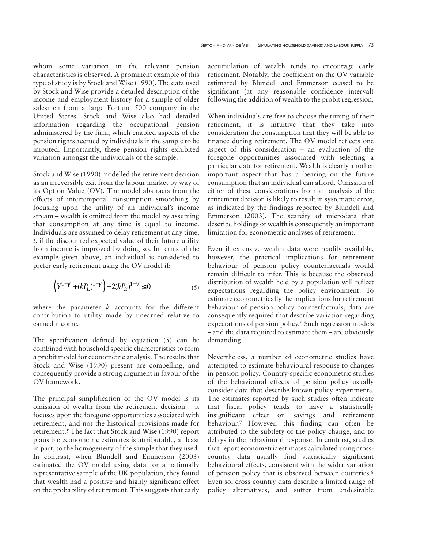whom some variation in the relevant pension characteristics is observed. A prominent example of this type of study is by Stock and Wise (1990). The data used by Stock and Wise provide a detailed description of the income and employment history for a sample of older salesmen from a large Fortune 500 company in the United States. Stock and Wise also had detailed information regarding the occupational pension administered by the firm, which enabled aspects of the pension rights accrued by individuals in the sample to be imputed. Importantly, these pension rights exhibited variation amongst the individuals of the sample.

Stock and Wise (1990) modelled the retirement decision as an irreversible exit from the labour market by way of its Option Value (OV). The model abstracts from the effects of intertemporal consumption smoothing by focusing upon the utility of an individual's income stream – wealth is omitted from the model by assuming that consumption at any time is equal to income. Individuals are assumed to delay retirement at any time, *t*, if the discounted expected value of their future utility from income is improved by doing so. In terms of the example given above, an individual is considered to prefer early retirement using the OV model if:

$$
\left(Y^{1-\gamma}+(kP_L)^{1-\gamma}\right)-2(kP_E)^{1-\gamma}\leq 0\qquad \qquad (5)
$$

where the parameter *k* accounts for the different contribution to utility made by unearned relative to earned income.

The specification defined by equation (5) can be combined with household specific characteristics to form a probit model for econometric analysis. The results that Stock and Wise (1990) present are compelling, and consequently provide a strong argument in favour of the OV framework.

The principal simplification of the OV model is its omission of wealth from the retirement decision – it focuses upon the foregone opportunities associated with retirement, and not the historical provisions made for retirement.5 The fact that Stock and Wise (1990) report plausible econometric estimates is attributable, at least in part, to the homogeneity of the sample that they used. In contrast, when Blundell and Emmerson (2003) estimated the OV model using data for a nationally representative sample of the UK population, they found that wealth had a positive and highly significant effect on the probability of retirement. This suggests that early

accumulation of wealth tends to encourage early retirement. Notably, the coefficient on the OV variable estimated by Blundell and Emmerson ceased to be significant (at any reasonable confidence interval) following the addition of wealth to the probit regression.

When individuals are free to choose the timing of their retirement, it is intuitive that they take into consideration the consumption that they will be able to finance during retirement. The OV model reflects one aspect of this consideration – an evaluation of the foregone opportunities associated with selecting a particular date for retirement. Wealth is clearly another important aspect that has a bearing on the future consumption that an individual can afford. Omission of either of these considerations from an analysis of the retirement decision is likely to result in systematic error, as indicated by the findings reported by Blundell and Emmerson (2003). The scarcity of microdata that describe holdings of wealth is consequently an important limitation for econometric analyses of retirement.

Even if extensive wealth data were readily available, however, the practical implications for retirement behaviour of pension policy counterfactuals would remain difficult to infer. This is because the observed distribution of wealth held by a population will reflect expectations regarding the policy environment. To estimate econometrically the implications for retirement behaviour of pension policy counterfactuals, data are consequently required that describe variation regarding expectations of pension policy.6 Such regression models – and the data required to estimate them – are obviously demanding.

Nevertheless, a number of econometric studies have attempted to estimate behavioural response to changes in pension policy. Country-specific econometric studies of the behavioural effects of pension policy usually consider data that describe known policy experiments. The estimates reported by such studies often indicate that fiscal policy tends to have a statistically insignificant effect on savings and retirement behaviour.7 However, this finding can often be attributed to the subtlety of the policy change, and to delays in the behavioural response. In contrast, studies that report econometric estimates calculated using crosscountry data usually find statistically significant behavioural effects, consistent with the wider variation of pension policy that is observed between countries.8 Even so, cross-country data describe a limited range of policy alternatives, and suffer from undesirable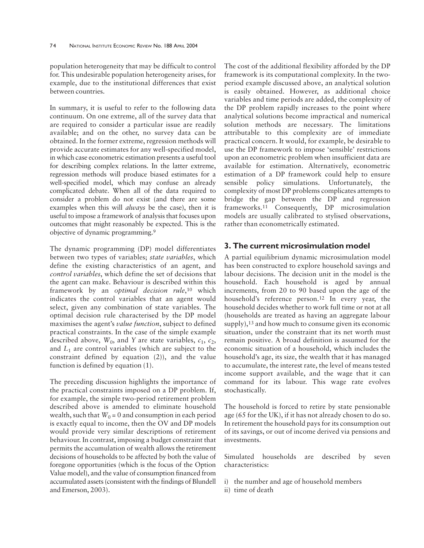population heterogeneity that may be difficult to control for. This undesirable population heterogeneity arises, for example, due to the institutional differences that exist between countries.

In summary, it is useful to refer to the following data continuum. On one extreme, all of the survey data that are required to consider a particular issue are readily available; and on the other, no survey data can be obtained. In the former extreme, regression methods will provide accurate estimates for any well-specified model, in which case econometric estimation presents a useful tool for describing complex relations. In the latter extreme, regression methods will produce biased estimates for a well-specified model, which may confuse an already complicated debate. When all of the data required to consider a problem do not exist (and there are some examples when this will *always* be the case), then it is useful to impose a framework of analysis that focuses upon outcomes that might reasonably be expected. This is the objective of dynamic programming.9

The dynamic programming (DP) model differentiates between two types of variables; *state variables*, which define the existing characteristics of an agent, and *control variables*, which define the set of decisions that the agent can make. Behaviour is described within this framework by an *optimal decision rule*,10 which indicates the control variables that an agent would select, given any combination of state variables. The optimal decision rule characterised by the DP model maximises the agent's *value function*, subject to defined practical constraints. In the case of the simple example described above,  $W_0$ , and *Y* are state variables,  $c_1$ ,  $c_2$ , and *L*1 are control variables (which are subject to the constraint defined by equation (2)), and the value function is defined by equation (1).

The preceding discussion highlights the importance of the practical constraints imposed on a DP problem. If, for example, the simple two-period retirement problem described above is amended to eliminate household wealth, such that  $W_0 = 0$  and consumption in each period is exactly equal to income, then the OV and DP models would provide very similar descriptions of retirement behaviour. In contrast, imposing a budget constraint that permits the accumulation of wealth allows the retirement decisions of households to be affected by both the value of foregone opportunities (which is the focus of the Option Value model), and the value of consumption financed from accumulated assets (consistent with the findings of Blundell and Emerson, 2003).

The cost of the additional flexibility afforded by the DP framework is its computational complexity. In the twoperiod example discussed above, an analytical solution is easily obtained. However, as additional choice variables and time periods are added, the complexity of the DP problem rapidly increases to the point where analytical solutions become impractical and numerical solution methods are necessary. The limitations attributable to this complexity are of immediate practical concern. It would, for example, be desirable to use the DP framework to impose 'sensible' restrictions upon an econometric problem when insufficient data are available for estimation. Alternatively, econometric estimation of a DP framework could help to ensure sensible policy simulations. Unfortunately, the complexity of most DP problems complicates attempts to bridge the gap between the DP and regression frameworks.11 Consequently, DP microsimulation models are usually calibrated to stylised observations, rather than econometrically estimated.

## **3. The current microsimulation model**

A partial equilibrium dynamic microsimulation model has been constructed to explore household savings and labour decisions. The decision unit in the model is the household. Each household is aged by annual increments, from 20 to 90 based upon the age of the household's reference person.12 In every year, the household decides whether to work full time or not at all (households are treated as having an aggregate labour supply),<sup>13</sup> and how much to consume given its economic situation, under the constraint that its net worth must remain positive. A broad definition is assumed for the economic situation of a household, which includes the household's age, its size, the wealth that it has managed to accumulate, the interest rate, the level of means tested income support available, and the wage that it can command for its labour. This wage rate evolves stochastically.

The household is forced to retire by state pensionable age (65 for the UK), if it has not already chosen to do so. In retirement the household pays for its consumption out of its savings, or out of income derived via pensions and investments.

Simulated households are described by seven characteristics:

- i) the number and age of household members
- ii) time of death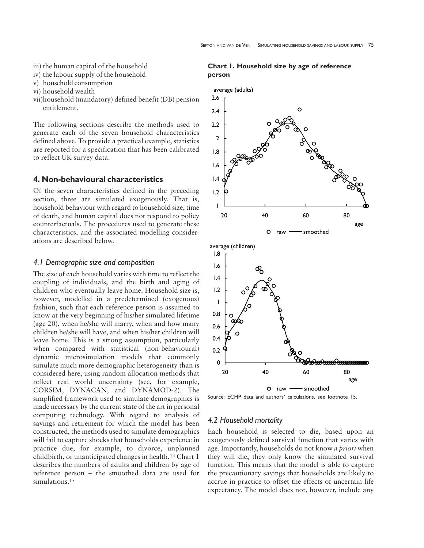- iii) the human capital of the household
- iv) the labour supply of the household
- v) household consumption
- vi) household wealth
- vii)household (mandatory) defined benefit (DB) pension entitlement.

The following sections describe the methods used to generate each of the seven household characteristics defined above. To provide a practical example, statistics are reported for a specification that has been calibrated to reflect UK survey data.

## **4. Non-behavioural characteristics**

Of the seven characteristics defined in the preceding section, three are simulated exogenously. That is, household behaviour with regard to household size, time of death, and human capital does not respond to policy counterfactuals. The procedures used to generate these characteristics, and the associated modelling considerations are described below.

#### *4.1 Demographic size and composition*

The size of each household varies with time to reflect the coupling of individuals, and the birth and aging of children who eventually leave home. Household size is, however, modelled in a predetermined (exogenous) fashion, such that each reference person is assumed to know at the very beginning of his/her simulated lifetime (age 20), when he/she will marry, when and how many children he/she will have, and when his/her children will leave home. This is a strong assumption, particularly when compared with statistical (non-behavioural) dynamic microsimulation models that commonly simulate much more demographic heterogeneity than is considered here, using random allocation methods that reflect real world uncertainty (see, for example, CORSIM, DYNACAN, and DYNAMOD-2). The simplified framework used to simulate demographics is made necessary by the current state of the art in personal computing technology. With regard to analysis of savings and retirement for which the model has been constructed, the methods used to simulate demographics will fail to capture shocks that households experience in practice due, for example, to divorce, unplanned childbirth, or unanticipated changes in health.14 Chart 1 describes the numbers of adults and children by age of reference person – the smoothed data are used for simulations.<sup>15</sup>

#### **Chart 1. Household size by age of reference person**



Source: ECHP data and authors' calculations, see footnote 15.

## *4.2 Household mortality*

Each household is selected to die, based upon an exogenously defined survival function that varies with age. Importantly, households do not know *a priori* when they will die, they only know the simulated survival function. This means that the model is able to capture the precautionary savings that households are likely to accrue in practice to offset the effects of uncertain life expectancy. The model does not, however, include any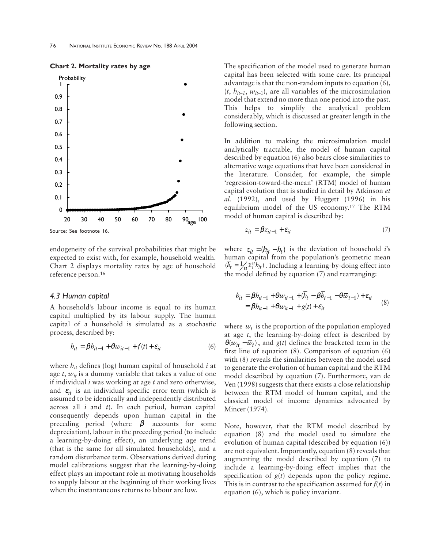

**Chart 2. Mortality rates by age**

Source: See footnote 16.

endogeneity of the survival probabilities that might be expected to exist with, for example, household wealth. Chart 2 displays mortality rates by age of household reference person.16

#### *4.3 Human capital*

A household's labour income is equal to its human capital multiplied by its labour supply. The human capital of a household is simulated as a stochastic process, described by:

$$
b_{it} = \beta b_{it-1} + \theta w_{it-1} + f(t) + \varepsilon_{it}
$$
 (6)

where *hit* defines (log) human capital of household *i* at age  $t$ ,  $w_{it}$  is a dummy variable that takes a value of one if individual *i* was working at age *t* and zero otherwise, and  $\varepsilon_{it}$  is an individual specific error term (which is assumed to be identically and independently distributed across all *i* and *t*). In each period, human capital consequently depends upon human capital in the preceding period (where  $\beta$  accounts for some depreciation), labour in the preceding period (to include a learning-by-doing effect), an underlying age trend (that is the same for all simulated households), and a random disturbance term. Observations derived during model calibrations suggest that the learning-by-doing effect plays an important role in motivating households to supply labour at the beginning of their working lives when the instantaneous returns to labour are low.

The specification of the model used to generate human capital has been selected with some care. Its principal advantage is that the non-random inputs to equation (6),  $(t, h_{it-1}, w_{it-1})$ , are all variables of the microsimulation model that extend no more than one period into the past. This helps to simplify the analytical problem considerably, which is discussed at greater length in the following section.

In addition to making the microsimulation model analytically tractable, the model of human capital described by equation (6) also bears close similarities to alternative wage equations that have been considered in the literature. Consider, for example, the simple 'regression-toward-the-mean' (RTM) model of human capital evolution that is studied in detail by Atkinson *et al*. (1992), and used by Huggett (1996) in his equilibrium model of the US economy.17 The RTM model of human capital is described by:

$$
z_{it} = \beta z_{it-1} + \varepsilon_{it} \tag{7}
$$

where  $z_{it} = (h_{it} - \overline{h}_t)$  is the deviation of household *i*'s human capital from the population's geometric mean  $(\overline{b}_t = \frac{1}{n} \sum_i^n b_{it})$ . Including a learning-by-doing effect into the model defined by equation (7) and rearranging:

$$
b_{it} = \beta b_{it-1} + \theta w_{it-1} + (b_t - \beta b_{t-1} - \theta \overline{w}_{t-1}) + \varepsilon_{it}
$$
  
=  $\beta b_{it-1} + \theta w_{it-1} + g(t) + \varepsilon_{it}$  (8)

where  $\bar{w}_t$  is the proportion of the population employed at age *t*, the learning-by-doing effect is described by  $\theta(w_{it} - \overline{w}_t)$ , and *g*(*t*) defines the bracketed term in the first line of equation (8). Comparison of equation (6) with (8) reveals the similarities between the model used to generate the evolution of human capital and the RTM model described by equation (7). Furthermore, van de Ven (1998) suggests that there exists a close relationship between the RTM model of human capital, and the classical model of income dynamics advocated by Mincer (1974).

Note, however, that the RTM model described by equation (8) and the model used to simulate the evolution of human capital (described by equation (6)) are not equivalent. Importantly, equation (8) reveals that augmenting the model described by equation (7) to include a learning-by-doing effect implies that the specification of *g*(*t*) depends upon the policy regime. This is in contrast to the specification assumed for  $f(t)$  in equation (6), which is policy invariant.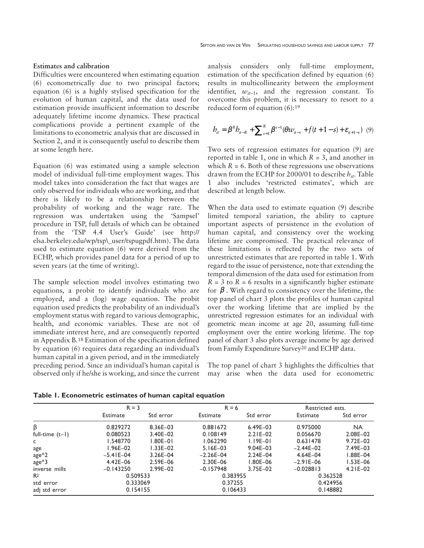#### **Estimates and calibration**

Difficulties were encountered when estimating equation (6) econometrically due to two principal factors; equation (6) is a highly stylised specification for the evolution of human capital, and the data used for estimation provide insufficient information to describe adequately lifetime income dynamics. These practical complications provide a pertinent example of the limitations to econometric analysis that are discussed in Section 2, and it is consequently useful to describe them at some length here.

Equation (6) was estimated using a sample selection model of individual full-time employment wages. This model takes into consideration the fact that wages are only observed for individuals who are working, and that there is likely to be a relationship between the probability of working and the wage rate. The regression was undertaken using the 'Sampsel' procedure in TSP, full details of which can be obtained from the 'TSP 4.4 User's Guide' (see http:// elsa.berkeley.edu/wp/tsp\\_user/tspugpdf.htm). The data used to estimate equation (6) were derived from the ECHP, which provides panel data for a period of up to seven years (at the time of writing).

The sample selection model involves estimating two equations, a probit to identify individuals who are employed, and a (log) wage equation. The probit equation used predicts the probability of an individual's employment status with regard to various demographic, health, and economic variables. These are not of immediate interest here, and are consequently reported in Appendix B.18 Estimation of the specification defined by equation (6) requires data regarding an individual's human capital in a given period, and in the immediately preceding period. Since an individual's human capital is observed only if he/she is working, and since the current analysis considers only full-time employment, estimation of the specification defined by equation (6) results in multicollinearity between the employment identifier,  $w_{it-1}$ , and the regression constant. To overcome this problem, it is necessary to resort to a reduced form of equation (6):<sup>19</sup>

$$
b_{it} = \beta^{R} b_{it-R} + \sum_{s=1}^{R} \beta^{s-1} (\theta w_{it-s} + f(t+1-s) + \varepsilon_{it+1-s}) \tag{9}
$$

Two sets of regression estimates for equation (9) are reported in table 1, one in which *R* = 3, and another in which  $R = 6$ . Both of these regressions use observations drawn from the ECHP for 2000/01 to describe *hit*. Table 1 also includes 'restricted estimates', which are described at length below.

When the data used to estimate equation (9) describe limited temporal variation, the ability to capture important aspects of persistence in the evolution of human capital, and consistency over the working lifetime are compromised. The practical relevance of these limitations is reflected by the two sets of unrestricted estimates that are reported in table 1. With regard to the issue of persistence, note that extending the temporal dimension of the data used for estimation from  $R = 3$  to  $R = 6$  results in a significantly higher estimate for  $\beta$ . With regard to consistency over the lifetime, the top panel of chart 3 plots the profiles of human capital over the working lifetime that are implied by the unrestricted regression estimates for an individual with geometric mean income at age 20, assuming full-time employment over the entire working lifetime. The top panel of chart 3 also plots average income by age derived from Family Expenditure Survey20 and ECHP data.

The top panel of chart 3 highlights the difficulties that may arise when the data used for econometric

|                   | $R = 3$          |              | $R = 6$       |              | Restricted ests. |              |
|-------------------|------------------|--------------|---------------|--------------|------------------|--------------|
|                   | Estimate         | Std error    | Estimate      | Std error    | Estimate         | Std error    |
| β                 | 0.829272         | 8.36E-03     | 0.881672      | $6.49E - 03$ | 0.975000         | <b>NA</b>    |
| full-time $(t-1)$ | 0.080523         | 3.40E-02     | 0.108149      | $2.21E - 02$ | 0.056670         | $2.08E - 02$ |
| c                 | .548770          | $1.80E - 01$ | 1.062290      | $1.19E-01$   | 0.631478         | $9.72E - 02$ |
| age               | l.96E–02         | $1.33E - 02$ | $5.16E - 03$  | $9.04E - 03$ | $-2.44E-02$      | $7.49E - 03$ |
| age <sup>^2</sup> | $-5.4$ I E $-04$ | $3.26E - 04$ | $-2.26E - 04$ | $2.24E - 04$ | $4.64E - 04$     | $1.88E - 04$ |
| age^3             | $4.42E - 06$     | $2.59E - 06$ | $2.30E - 06$  | $1.80E - 06$ | $-2.9$ I E $-06$ | $1.53E - 06$ |
| inverse mills     | $-0.143250$      | $2.99E - 02$ | $-0.157948$   | 3.75E-02     | $-0.028813$      | $4.21E - 02$ |
| R <sup>2</sup>    | 0.509533         |              | 0.383955      |              | 0.362528         |              |
| std error         | 0.333069         |              | 0.37255       |              | 0.424956         |              |
| adj std error     | 0.154155         |              | 0.106433      |              | 0.148882         |              |

**Table 1. Econometric estimates of human capital equation**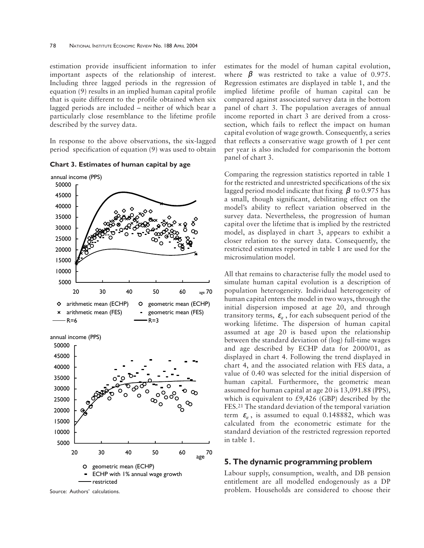estimation provide insufficient information to infer important aspects of the relationship of interest. Including three lagged periods in the regression of equation (9) results in an implied human capital profile that is quite different to the profile obtained when six lagged periods are included – neither of which bear a particularly close resemblance to the lifetime profile described by the survey data.

In response to the above observations, the six-lagged period specification of equation (9) was used to obtain

**Chart 3. Estimates of human capital by age**



Source: Authors' calculations.

estimates for the model of human capital evolution, where  $\beta$  was restricted to take a value of 0.975. Regression estimates are displayed in table 1, and the implied lifetime profile of human capital can be compared against associated survey data in the bottom panel of chart 3. The population averages of annual income reported in chart 3 are derived from a crosssection, which fails to reflect the impact on human capital evolution of wage growth. Consequently, a series that reflects a conservative wage growth of 1 per cent per year is also included for comparisonin the bottom panel of chart 3.

Comparing the regression statistics reported in table 1 for the restricted and unrestricted specifications of the six lagged period model indicate that fixing  $\beta$  to 0.975 has a small, though significant, debilitating effect on the model's ability to reflect variation observed in the survey data. Nevertheless, the progression of human capital over the lifetime that is implied by the restricted model, as displayed in chart 3, appears to exhibit a closer relation to the survey data. Consequently, the restricted estimates reported in table 1 are used for the microsimulation model.

All that remains to characterise fully the model used to simulate human capital evolution is a description of population heterogeneity. Individual heterogeneity of human capital enters the model in two ways, through the initial dispersion imposed at age 20, and through transitory terms,  $\varepsilon$ <sub>*i*</sub>, for each subsequent period of the working lifetime. The dispersion of human capital assumed at age 20 is based upon the relationship between the standard deviation of (log) full-time wages and age described by ECHP data for 2000/01, as displayed in chart 4. Following the trend displayed in chart 4, and the associated relation with FES data, a value of 0.40 was selected for the initial dispersion of human capital. Furthermore, the geometric mean assumed for human capital at age 20 is 13,091.88 (PPS), which is equivalent to  $£9,426$  (GBP) described by the FES.21 The standard deviation of the temporal variation term  $\varepsilon_{i}$ , is assumed to equal 0.148882, which was calculated from the econometric estimate for the standard deviation of the restricted regression reported in table 1.

### **5. The dynamic programming problem**

Labour supply, consumption, wealth, and DB pension entitlement are all modelled endogenously as a DP problem. Households are considered to choose their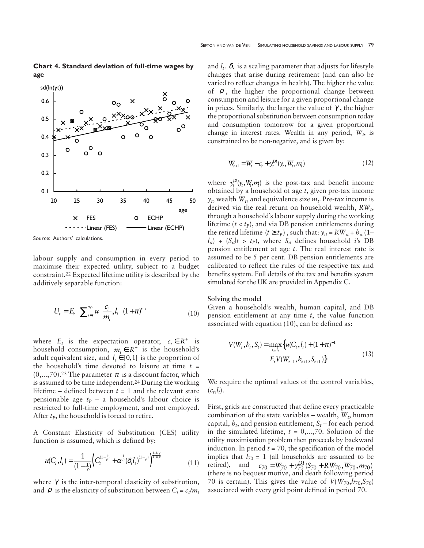**Chart 4. Standard deviation of full-time wages by age**



Source: Authors' calculations.

labour supply and consumption in every period to maximise their expected utility, subject to a budget constraint.22 Expected lifetime utility is described by the additively separable function:

$$
U_{t} = E_{t} \left( \sum_{i=t}^{70} u \left( \frac{c_{i}}{m_{i}}, l_{i} \right) (1 + \pi)^{t-i} \right)
$$
 (10)

where  $E_t$  is the expectation operator,  $c_t \in R^+$  is household consumption,  $m_t \in R^+$  is the household's adult equivalent size, and  $l_1 \in [0,1]$  is the proportion of the household's time devoted to leisure at time *t* =  $(0,...,70)$ .<sup>23</sup> The parameter  $\pi$  is a discount factor, which is assumed to be time independent.24 During the working lifetime – defined between  $t = 1$  and the relevant state pensionable age  $t_p$  – a household's labour choice is restricted to full-time employment, and not employed. After  $t<sub>P</sub>$ , the household is forced to retire.

A Constant Elasticity of Substitution (CES) utility function is assumed, which is defined by:

$$
u(C_t, I_t) = \frac{1}{(1 - \frac{1}{\gamma})} \Big( C_t^{(1 - \frac{1}{\rho})} + \alpha^{\frac{1}{\rho}} (\delta_t I_t)^{(1 - \frac{1}{\rho})} \Big)^{\frac{1 - 1/\gamma}{1 + 1/\rho}}
$$
(11)

where  $\gamma$  is the inter-temporal elasticity of substitution, and  $\rho$  is the elasticity of substitution between  $C_t = c_t/m_t$  and  $l_t$ .  $\delta_t$  is a scaling parameter that adjusts for lifestyle changes that arise during retirement (and can also be varied to reflect changes in health). The higher the value of  $\rho$ , the higher the proportional change between consumption and leisure for a given proportional change in prices. Similarly, the larger the value of  $\gamma$ , the higher the proportional substitution between consumption today and consumption tomorrow for a given proportional change in interest rates. Wealth in any period,  $W_t$ , is constrained to be non-negative, and is given by:

$$
W_{t+1} = W_t - c_t + y_t^{DI}(y_t, W_t, m_t)
$$
\n(12)

where  $y_t^D(y_t, W_t, m)$  is the post-tax and benefit income obtained by a household of age *t*, given pre-tax income  $y_t$ , wealth  $W_t$ , and equivalence size  $m_t$ . Pre-tax income is derived via the real return on household wealth, *RW<sub>t</sub>*, through a household's labour supply during the working lifetime  $(t < t<sub>P</sub>)$ , and via DB pension entitlements during the retired lifetime  $(t \ge t_p)$ , such that:  $y_{it} = R W_{it} + h_{it}$  (1–  $l_{it}$  + ( $S_{it}$  / $t > t_p$ ), where  $S_{it}$  defines household *i*'s DB pension entitlement at age *t*. The real interest rate is assumed to be 5 per cent. DB pension entitlements are calibrated to reflect the rules of the respective tax and benefits system. Full details of the tax and benefits system simulated for the UK are provided in Appendix C.

#### **Solving the model**

Given a household's wealth, human capital, and DB pension entitlement at any time *t*, the value function associated with equation (10), can be defined as:

$$
V(W_t, b_t, S_t) = \max_{c_t, l_t} \{ u(C_t, l_t) + (1 + \pi)^{-1} E_t V(W_{t+1}, b_{t+1}, S_{t+1}) \}
$$
(13)

We require the optimal values of the control variables,  $(c_t, l_t)$ .

First, grids are constructed that define every practicable combination of the state variables – wealth,  $W_t$ , human capital,  $h_t$ , and pension entitlement,  $S_t$  – for each period in the simulated lifetime,  $t = 0, \ldots, 70$ . Solution of the utility maximisation problem then proceeds by backward induction. In period  $t = 70$ , the specification of the model implies that  $l_{70} = 1$  (all households are assumed to be retired), and  $c_{70} = W_{70} + y_{70}^{DI} (S_{70} + R W_{70}, W_{70}, m_{70})$ (there is no bequest motive, and death following period 70 is certain). This gives the value of  $V(W_{70}, h_{70}, S_{70})$ associated with every grid point defined in period 70.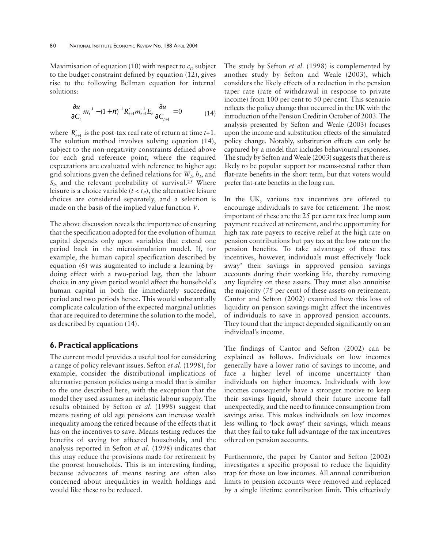Maximisation of equation (10) with respect to  $c_t$ , subject to the budget constraint defined by equation (12), gives rise to the following Bellman equation for internal solutions:

$$
\frac{\partial u}{\partial C_t} m_t^{-1} - (1 + \pi)^{-1} R_{t+1}' m_{t+1}^{-1} E_t \frac{\partial u}{\partial C_{t+1}} = 0 \tag{14}
$$

where  $R'_{t+1}$  is the post-tax real rate of return at time  $t+1$ . The solution method involves solving equation (14), subject to the non-negativity constraints defined above for each grid reference point, where the required expectations are evaluated with reference to higher age grid solutions given the defined relations for  $W_t$ ,  $h_t$ , and  $S_t$ , and the relevant probability of survival.<sup>25</sup> Where leisure is a choice variable  $(t < t<sub>P</sub>)$ , the alternative leisure choices are considered separately, and a selection is made on the basis of the implied value function *V*.

The above discussion reveals the importance of ensuring that the specification adopted for the evolution of human capital depends only upon variables that extend one period back in the microsimulation model. If, for example, the human capital specification described by equation (6) was augmented to include a learning-bydoing effect with a two-period lag, then the labour choice in any given period would affect the household's human capital in both the immediately succeeding period and two periods hence. This would substantially complicate calculation of the expected marginal utilities that are required to determine the solution to the model, as described by equation (14).

## **6. Practical applications**

The current model provides a useful tool for considering a range of policy relevant issues. Sefton *et al*. (1998), for example, consider the distributional implications of alternative pension policies using a model that is similar to the one described here, with the exception that the model they used assumes an inelastic labour supply. The results obtained by Sefton *et al*. (1998) suggest that means testing of old age pensions can increase wealth inequality among the retired because of the effects that it has on the incentives to save. Means testing reduces the benefits of saving for affected households, and the analysis reported in Sefton *et al*. (1998) indicates that this may reduce the provisions made for retirement by the poorest households. This is an interesting finding, because advocates of means testing are often also concerned about inequalities in wealth holdings and would like these to be reduced.

The study by Sefton *et al*. (1998) is complemented by another study by Sefton and Weale (2003), which considers the likely effects of a reduction in the pension taper rate (rate of withdrawal in response to private income) from 100 per cent to 50 per cent. This scenario reflects the policy change that occurred in the UK with the introduction of the Pension Credit in October of 2003. The analysis presented by Sefton and Weale (2003) focuses upon the income and substitution effects of the simulated policy change. Notably, substitution effects can only be captured by a model that includes behavioural responses. The study by Sefton and Weale (2003) suggests that there is likely to be popular support for means-tested rather than flat-rate benefits in the short term, but that voters would prefer flat-rate benefits in the long run.

In the UK, various tax incentives are offered to encourage individuals to save for retirement. The most important of these are the 25 per cent tax free lump sum payment received at retirement, and the opportunity for high tax rate payers to receive relief at the high rate on pension contributions but pay tax at the low rate on the pension benefits. To take advantage of these tax incentives, however, individuals must effectively 'lock away' their savings in approved pension savings accounts during their working life, thereby removing any liquidity on these assets. They must also annuitise the majority (75 per cent) of these assets on retirement. Cantor and Sefton (2002) examined how this loss of liquidity on pension savings might affect the incentives of individuals to save in approved pension accounts. They found that the impact depended significantly on an individual's income.

The findings of Cantor and Sefton (2002) can be explained as follows. Individuals on low incomes generally have a lower ratio of savings to income, and face a higher level of income uncertainty than individuals on higher incomes. Individuals with low incomes consequently have a stronger motive to keep their savings liquid, should their future income fall unexpectedly, and the need to finance consumption from savings arise. This makes individuals on low incomes less willing to 'lock away' their savings, which means that they fail to take full advantage of the tax incentives offered on pension accounts.

Furthermore, the paper by Cantor and Sefton (2002) investigates a specific proposal to reduce the liquidity trap for those on low incomes. All annual contribution limits to pension accounts were removed and replaced by a single lifetime contribution limit. This effectively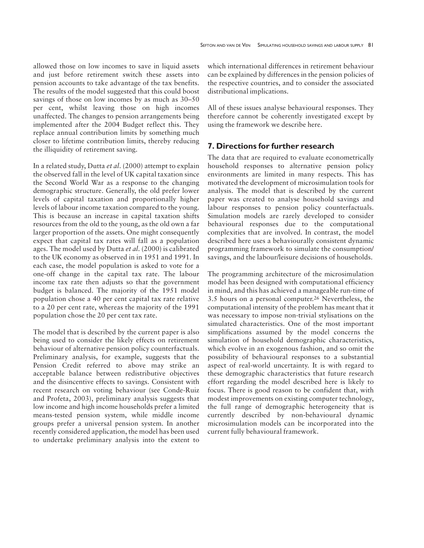allowed those on low incomes to save in liquid assets and just before retirement switch these assets into pension accounts to take advantage of the tax benefits. The results of the model suggested that this could boost savings of those on low incomes by as much as 30–50 per cent, whilst leaving those on high incomes unaffected. The changes to pension arrangements being implemented after the 2004 Budget reflect this. They replace annual contribution limits by something much closer to lifetime contribution limits, thereby reducing the illiquidity of retirement saving.

In a related study, Dutta *et al*. (2000) attempt to explain the observed fall in the level of UK capital taxation since the Second World War as a response to the changing demographic structure. Generally, the old prefer lower levels of capital taxation and proportionally higher levels of labour income taxation compared to the young. This is because an increase in capital taxation shifts resources from the old to the young, as the old own a far larger proportion of the assets. One might consequently expect that capital tax rates will fall as a population ages. The model used by Dutta *et al*. (2000) is calibrated to the UK economy as observed in in 1951 and 1991. In each case, the model population is asked to vote for a one-off change in the capital tax rate. The labour income tax rate then adjusts so that the government budget is balanced. The majority of the 1951 model population chose a 40 per cent capital tax rate relative to a 20 per cent rate, whereas the majority of the 1991 population chose the 20 per cent tax rate.

The model that is described by the current paper is also being used to consider the likely effects on retirement behaviour of alternative pension policy counterfactuals. Preliminary analysis, for example, suggests that the Pension Credit referred to above may strike an acceptable balance between redistributive objectives and the disincentive effects to savings. Consistent with recent research on voting behaviour (see Conde-Ruiz and Profeta, 2003), preliminary analysis suggests that low income and high income households prefer a limited means-tested pension system, while middle income groups prefer a universal pension system. In another recently considered application, the model has been used to undertake preliminary analysis into the extent to

which international differences in retirement behaviour can be explained by differences in the pension policies of the respective countries, and to consider the associated distributional implications.

All of these issues analyse behavioural responses. They therefore cannot be coherently investigated except by using the framework we describe here.

# **7. Directions for further research**

The data that are required to evaluate econometrically household responses to alternative pension policy environments are limited in many respects. This has motivated the development of microsimulation tools for analysis. The model that is described by the current paper was created to analyse household savings and labour responses to pension policy counterfactuals. Simulation models are rarely developed to consider behavioural responses due to the computational complexities that are involved. In contrast, the model described here uses a behaviourally consistent dynamic programming framework to simulate the consumption/ savings, and the labour/leisure decisions of households.

The programming architecture of the microsimulation model has been designed with computational efficiency in mind, and this has achieved a manageable run-time of 3.5 hours on a personal computer.26 Nevertheless, the computational intensity of the problem has meant that it was necessary to impose non-trivial stylisations on the simulated characteristics. One of the most important simplifications assumed by the model concerns the simulation of household demographic characteristics, which evolve in an exogenous fashion, and so omit the possibility of behavioural responses to a substantial aspect of real-world uncertainty. It is with regard to these demographic characteristics that future research effort regarding the model described here is likely to focus. There is good reason to be confident that, with modest improvements on existing computer technology, the full range of demographic heterogeneity that is currently described by non-behavioural dynamic microsimulation models can be incorporated into the current fully behavioural framework.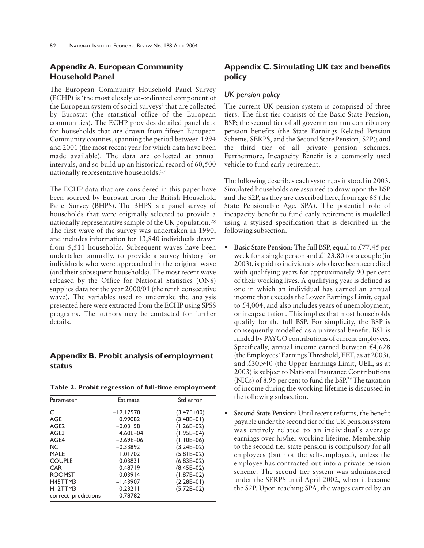# **Appendix A. European Community Household Panel**

The European Community Household Panel Survey (ECHP) is 'the most closely co-ordinated component of the European system of social surveys' that are collected by Eurostat (the statistical office of the European communities). The ECHP provides detailed panel data for households that are drawn from fifteen European Community counties, spanning the period between 1994 and 2001 (the most recent year for which data have been made available). The data are collected at annual intervals, and so build up an historical record of 60,500 nationally representative households.27

The ECHP data that are considered in this paper have been sourced by Eurostat from the British Household Panel Survey (BHPS). The BHPS is a panel survey of households that were originally selected to provide a nationally representative sample of the UK population.28 The first wave of the survey was undertaken in 1990, and includes information for 13,840 individuals drawn from 5,511 households. Subsequent waves have been undertaken annually, to provide a survey history for individuals who were approached in the original wave (and their subsequent households). The most recent wave released by the Office for National Statistics (ONS) supplies data for the year 2000/01 (the tenth consecutive wave). The variables used to undertake the analysis presented here were extracted from the ECHP using SPSS programs. The authors may be contacted for further details.

# **Appendix B. Probit analysis of employment status**

| Parameter            | Estimate      | Std error      |
|----------------------|---------------|----------------|
| C                    | $-12.17570$   | $(3.47E+00)$   |
| AGE                  | 0.99082       | $(3.48E - 01)$ |
| AGE <sub>2</sub>     | $-0.03158$    | $(1.26E-02)$   |
| AGE3                 | 4.60E-04      | $(1.95E-04)$   |
| AGE4                 | $-2.69E - 06$ | $(1.10E-06)$   |
| NC.                  | $-0.33892$    | $(3.24E-02)$   |
| <b>MALE</b>          | 1.01702       | $(5.81E-02)$   |
| <b>COUPLE</b>        | 0.03831       | $(6.83E-02)$   |
| <b>CAR</b>           | 0.48719       | $(8.45E-02)$   |
| <b>ROOMST</b>        | 0.03914       | $(1.87E-02)$   |
| H45TTM3              | $-1.43907$    | $(2.28E-01)$   |
| H <sub>12</sub> TTM3 | 0.23211       | $(5.72E-02)$   |
| correct predictions  | 0.78782       |                |

# **Appendix C. Simulating UK tax and benefits policy**

## *UK pension policy*

The current UK pension system is comprised of three tiers. The first tier consists of the Basic State Pension, BSP; the second tier of all government run contributory pension benefits (the State Earnings Related Pension Scheme, SERPS, and the Second State Pension, S2P); and the third tier of all private pension schemes. Furthermore, Incapacity Benefit is a commonly used vehicle to fund early retirement.

The following describes each system, as it stood in 2003. Simulated households are assumed to draw upon the BSP and the S2P, as they are described here, from age 65 (the State Pensionable Age, SPA). The potential role of incapacity benefit to fund early retirement is modelled using a stylised specification that is described in the following subsection.

- **Basic State Pension**: The full BSP, equal to £77.45 per week for a single person and  $\text{\pounds}123.80$  for a couple (in 2003), is paid to individuals who have been accredited with qualifying years for approximately 90 per cent of their working lives. A qualifying year is defined as one in which an individual has earned an annual income that exceeds the Lower Earnings Limit, equal to £4,004, and also includes years of unemployment, or incapacitation. This implies that most households qualify for the full BSP. For simplicity, the BSP is consequently modelled as a universal benefit. BSP is funded by PAYGO contributions of current employees. Specifically, annual income earned between £4,628 (the Employees' Earnings Threshold, EET, as at 2003), and £30,940 (the Upper Earnings Limit, UEL, as at 2003) is subject to National Insurance Contributions (NICs) of 8.95 per cent to fund the BSP.29 The taxation of income during the working lifetime is discussed in the following subsection.
- **Second State Pension**: Until recent reforms, the benefit payable under the second tier of the UK pension system was entirely related to an individual's average earnings over his/her working lifetime. Membership to the second tier state pension is compulsory for all employees (but not the self-employed), unless the employee has contracted out into a private pension scheme. The second tier system was administered under the SERPS until April 2002, when it became the S2P. Upon reaching SPA, the wages earned by an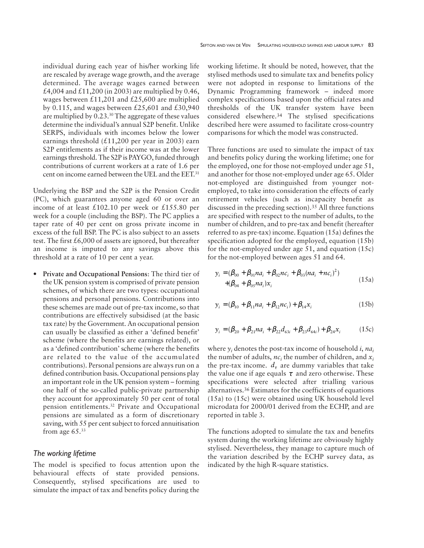individual during each year of his/her working life are rescaled by average wage growth, and the average determined. The average wages earned between £4,004 and £11,200 (in 2003) are multiplied by 0.46, wages between £11,201 and £25,600 are multiplied by 0.115, and wages between £25,601 and £30,940 are multiplied by 0.23.30 The aggregate of these values determine the individual's annual S2P benefit. Unlike SERPS, individuals with incomes below the lower earnings threshold  $(£11,200$  per year in 2003) earn S2P entitlements as if their income was at the lower earnings threshold. The S2P is PAYGO, funded through contributions of current workers at a rate of 1.6 per cent on income earned between the UEL and the EET.31

Underlying the BSP and the S2P is the Pension Credit (PC), which guarantees anyone aged 60 or over an income of at least £102.10 per week or £155.80 per week for a couple (including the BSP). The PC applies a taper rate of 40 per cent on gross private income in excess of the full BSP. The PC is also subject to an assets test. The first £6,000 of assets are ignored, but thereafter an income is imputed to any savings above this threshold at a rate of 10 per cent a year.

• **Private and Occupational Pensions**: The third tier of the UK pension system is comprised of private pension schemes, of which there are two types: occupational pensions and personal pensions. Contributions into these schemes are made out of pre-tax income, so that contributions are effectively subsidised (at the basic tax rate) by the Government. An occupational pension can usually be classified as either a 'defined benefit' scheme (where the benefits are earnings related), or as a 'defined contribution' scheme (where the benefits are related to the value of the accumulated contributions). Personal pensions are always run on a defined contribution basis. Occupational pensions play an important role in the UK pension system – forming one half of the so-called public-private partnership they account for approximately 50 per cent of total pension entitlements.32 Private and Occupational pensions are simulated as a form of discretionary saving, with 55 per cent subject to forced annuitisation from age  $65.^{33}$ 

#### *The working lifetime*

The model is specified to focus attention upon the behavioural effects of state provided pensions. Consequently, stylised specifications are used to simulate the impact of tax and benefits policy during the

working lifetime. It should be noted, however, that the stylised methods used to simulate tax and benefits policy were not adopted in response to limitations of the Dynamic Programming framework – indeed more complex specifications based upon the official rates and thresholds of the UK transfer system have been considered elsewhere.34 The stylised specifications described here were assumed to facilitate cross-country comparisons for which the model was constructed.

Three functions are used to simulate the impact of tax and benefits policy during the working lifetime; one for the employed, one for those not-employed under age 51, and another for those not-employed under age 65. Older not-employed are distinguished from younger notemployed, to take into consideration the effects of early retirement vehicles (such as incapacity benefit as discussed in the preceding section).35 All three functions are specified with respect to the number of adults, to the number of children, and to pre-tax and benefit (hereafter referred to as pre-tax) income. Equation (15a) defines the specification adopted for the employed, equation (15b) for the not-employed under age 51, and equation (15c) for the not-employed between ages 51 and 64.

$$
y_i = (\beta_{00} + \beta_{01}na_i + \beta_{02}nc_i + \beta_{03}(na_i + nc_i)^2)
$$
  
+ (\beta\_{04} + \beta\_{05}na\_i)x\_i \t(15a)

$$
y_i = (\beta_{10} + \beta_{11} n a_i + \beta_{12} n c_i) + \beta_{14} x_i
$$
 (15b)

$$
y_i = (\beta_{20} + \beta_{21} n a_i + \beta_{22} d_{63i} + \beta_{23} d_{64i}) + \beta_{24} x_i
$$
 (15c)

where *yi* denotes the post-tax income of household *i*, *nai* the number of adults,  $nc_i$  the number of children, and  $x_i$ the pre-tax income.  $d<sub>r</sub>$  are dummy variables that take the value one if age equals  $\tau$  and zero otherwise. These specifications were selected after trialling various alternatives.36 Estimates for the coefficients of equations (15a) to (15c) were obtained using UK household level microdata for 2000/01 derived from the ECHP, and are reported in table 3.

The functions adopted to simulate the tax and benefits system during the working lifetime are obviously highly stylised. Nevertheless, they manage to capture much of the variation described by the ECHP survey data, as indicated by the high R-square statistics.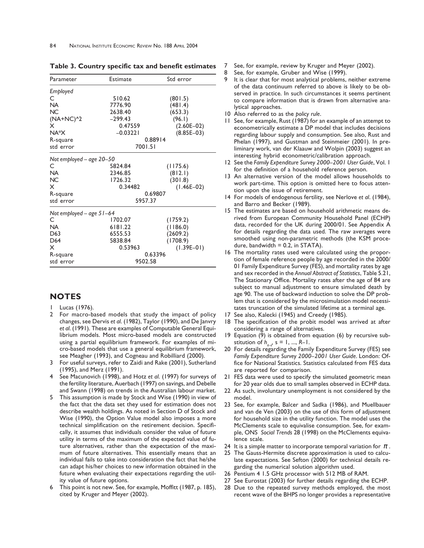| Parameter                  | Estimate   | Std error    |  |  |  |  |
|----------------------------|------------|--------------|--|--|--|--|
| Employed                   |            |              |  |  |  |  |
| C                          | 510.62     | (801.5)      |  |  |  |  |
| <b>NA</b>                  | 7776.90    | (481.4)      |  |  |  |  |
| <b>NC</b>                  | 2638.40    | (653.3)      |  |  |  |  |
| $(NA+NC)^2$                | $-299.43$  | (96.1)       |  |  |  |  |
| x                          | 0.47559    | $(2.60E-02)$ |  |  |  |  |
| NA*X                       | $-0.03221$ | $(8.85E-03)$ |  |  |  |  |
| R-square                   |            | 0.88914      |  |  |  |  |
| std error                  |            | 7001.51      |  |  |  |  |
| Not employed – age 20–50   |            |              |  |  |  |  |
| C                          | 5824.84    | (1175.6)     |  |  |  |  |
| <b>NA</b>                  | 2346.85    | (812.1)      |  |  |  |  |
| <b>NC</b>                  | 1726.32    | (301.8)      |  |  |  |  |
| x                          | 0.34482    | $(1.46E-02)$ |  |  |  |  |
| R-square                   |            | 0.69807      |  |  |  |  |
| std error                  |            | 5957.37      |  |  |  |  |
| Not employed – age $51-64$ |            |              |  |  |  |  |
| C                          | 1702.07    | (1759.2)     |  |  |  |  |
| NA.                        | 6181.22    | (1186.0)     |  |  |  |  |
| D63                        | 6555.53    | (2609.2)     |  |  |  |  |
| D64                        | 5838.84    | (1708.9)     |  |  |  |  |
| x                          | 0.53963    | $(1.39E-01)$ |  |  |  |  |
| R-square                   |            | 0.63396      |  |  |  |  |
| std error                  |            | 9502.58      |  |  |  |  |

**Table 3. Country specific tax and benefit estimates**

## **NOTES**

- Lucas (1976).
- 2 For macro-based models that study the impact of policy changes, see Dervis *et al*. (1982), Taylor (1990), and De Janvry *et al*. (1991). These are examples of Computable General Equilibrium models. Most micro-based models are constructed using a partial equilibrium framework. For examples of micro-based models that use a general equilibrium framework, see Meagher (1993), and Cogneau and Robilliard (2000).
- 3 For useful surveys, refer to Zaidi and Rake (2001), Sutherland (1995), and Merz (1991).
- 4 See Macunovich (1998), and Hotz *et al*. (1997) for surveys of the fertility literature, Auerbach (1997) on savings, and Debelle and Swann (1998) on trends in the Australian labour market.
- This assumption is made by Stock and Wise (1990) in view of the fact that the data set they used for estimation does not describe wealth holdings. As noted in Section D of Stock and Wise (1990), the Option Value model also imposes a more technical simplification on the retirement decision. Specifically, it assumes that individuals consider the value of future utility in terms of the maximum of the expected value of future alternatives, rather than the expectation of the maximum of future alternatives. This essentially means that an individual fails to take into consideration the fact that he/she can adapt his/her choices to new information obtained in the future when evaluating their expectations regarding the utility value of future options.
- 6 This point is not new. See, for example, Moffitt (1987, p. 185), cited by Kruger and Meyer (2002).
- 7 See, for example, review by Kruger and Meyer (2002).
- 8 See, for example, Gruber and Wise (1999).
- 9 It is clear that for most analytical problems, neither extreme of the data continuum referred to above is likely to be observed in practice. In such circumstances it seems pertinent to compare information that is drawn from alternative analytical approaches.
- 10 Also referred to as the *policy rule*.
- 11 See, for example, Rust (1987) for an example of an attempt to econometrically estimate a DP model that includes decisions regarding labour supply and consumption. See also, Rust and Phelan (1997), and Gustman and Steinmeier (2001). In preliminary work, van der Klaauw and Wolpin (2003) suggest an interesting hybrid econometric/calibration approach.
- 12 See the *Family Expenditure Survey 2000–2001 User Guide*, Vol. 1 for the definition of a household reference person.
- 13 An alternative version of the model allows households to work part-time. This option is omitted here to focus attention upon the issue of retirement.
- 14 For models of endogenous fertility, see Nerlove *et al*. (1984), and Barro and Becker (1989).
- 15 The estimates are based on household arithmetic means derived from European Community Household Panel (ECHP) data, recorded for the UK during 2000/01. See Appendix A for details regarding the data used. The raw averages were smoothed using non-parametric methods (the KSM procedure, bandwidth  $= 0.2$ , in STATA).
- 16 The mortality rates used were calculated using the proportion of female reference people by age recorded in the 2000/ 01 Family Expenditure Survey (FES), and mortality rates by age and sex recorded in the *Annual Abstract of Statistics*, Table 5.21, The Stationary Office. Mortality rates after the age of 84 are subject to manual adjustment to ensure simulated death by age 90. The use of backward induction to solve the DP problem that is considered by the microsimulation model necessitates truncation of the simulated lifetime at a terminal age.
- 17 See also, Kalecki (1945) and Creedy (1985).
- 18 The specification of the probit model was arrived at after considering a range of alternatives.
- 19 Equation (9) is obtained from equation (6) by recursive substitution of  $h_{n-d}$ ,  $s = 1, ..., R-1$ .
- 20 For details regarding the Family Expenditure Survey (FES) see *Family Expenditure Survey 2000–2001 User Guide*. London: Office for National Statistics. Statistics calculated from FES data are reported for comparison.
- 21 FES data were used to specify the simulated geometric mean for 20 year olds due to small samples observed in ECHP data.
- 22 As such, involuntary unemployment is not considered by the model.
- 23 See, for example, Balcer and Sadka (1986), and Muellbauer and van de Ven (2003) on the use of this form of adjustment for household size in the utility function. The model uses the McClements scale to equivalise consumption. See, for example, ONS *Social Trends* 28 (1998) on the McClements equivalence scale.
- 24 It is a simple matter to incorporate temporal variation for  $\pi$ .
- 25 The Gauss-Hermite discrete approximation is used to calculate expectations. See Sefton (2000) for technical details regarding the numerical solution algorithm used.
- 26 Pentium 4 1.5 GHz processor with 512 MB of RAM.
- 27 See Eurostat (2003) for further details regarding the ECHP.
- 28 Due to the repeated survey methods employed, the most recent wave of the BHPS no longer provides a representative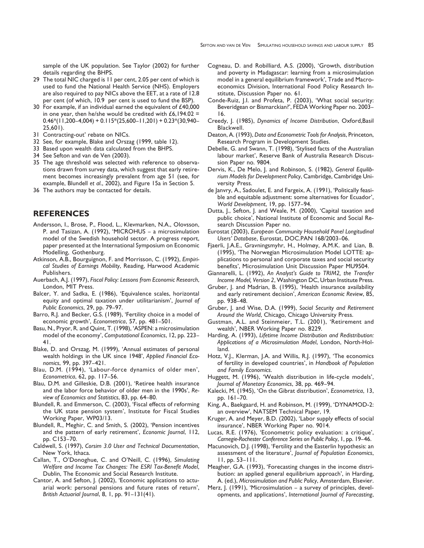sample of the UK population. See Taylor (2002) for further details regarding the BHPS.

- 29 The total NIC charged is 11 per cent, 2.05 per cent of which is used to fund the National Health Service (NHS). Employers are also required to pay NICs above the EET, at a rate of 12.8 per cent (of which, 10.9 per cent is used to fund the BSP).
- 30 For example, if an individual earned the equivalent of £40,000 in one year, then he/she would be credited with  $£6,194.02 =$  $0.46*(11,200-4,004) + 0.115*(25,600-11,201) + 0.23*(30,940-11,201)$ 25,601).
- 31 Contracting-out' rebate on NICs.
- 32 See, for example, Blake and Orszag (1999, table 12).
- 33 Based upon wealth data calculated from the BHPS.
- 34 See Sefton and van de Ven (2003).
- 35 The age threshold was selected with reference to observations drawn from survey data, which suggest that early retirement becomes increasingly prevalent from age 51 (see, for example, Blundell *et al*., 2002), and Figure 15a in Section 5.
- 36 The authors may be contacted for details.

## **REFERENCES**

- Andersson, I., Brose, P., Flood, L., Klevmarken, N.A., Olovsson, P. and Tasizan, A. (1992), 'MICROHUS – a microsimulation model of the Swedish household sector. A progress report, paper presented at the International Symposium on Economic Modelling, Gothenburg.
- Atkinson, A.B., Bourguignon, F. and Morrisson, C. (1992), *Empirical Studies of Earnings Mobility*, Reading, Harwood Academic Publishers.
- Auerbach, A.J. (1997), *Fiscal Policy: Lessons from Economic Research*, London, MIT Press.
- Balcer, Y. and Sadka, E. (1986), 'Equivalence scales, horizontal equity and optimal taxation under utilitarianism', *Journal of Public Economics*, 29, pp. 79–97.
- Barro, R.J. and Becker, G.S. (1989), 'Fertility choice in a model of economic growth', *Econometrica*, 57, pp. 481–501.
- Basu, N., Pryor, R. and Quint, T. (1998), 'ASPEN: a microsimulation model of the economy', *Computational Economics*, 12, pp. 223– 41.
- Blake, D. and Orszag, M. (1999), 'Annual estimates of personal wealth holdings in the UK since 1948', *Applied Financial Economics*, 99, pp. 397–421.
- Blau, D.M. (1994), 'Labour-force dynamics of older men', *Econometrica*, 62, pp. 117–56.
- Blau, D.M. and Gilleskie, D.B. (2001), 'Retiree health insurance and the labor force behavior of older men in the 1990s', *Review of Economics and Statistics*, 83, pp. 64–80.
- Blundell, R. and Emmerson, C. (2003), 'Fiscal effects of reforming the UK state pension system', Institute for Fiscal Studies Working Paper, WP03/13.
- Blundell, R., Meghir, C. and Smith, S. (2002), 'Pension incentives and the pattern of early retirement', *Economic Journal*, 112, pp. C153–70.
- Caldwell, S. (1997), *Corsim 3.0 User and Technical Documentation*, New York, Ithaca.
- Callan, T., O'Donoghue, C. and O'Neill, C. (1996), *Simulating Welfare and Income Tax Changes: The ESRI Tax-Benefit Model*, Dublin, The Economic and Social Research Institute.
- Cantor, A. and Sefton, J. (2002), 'Economic applications to actuarial work: personal pensions and future rates of return', *British Actuarial Journal*, 8, 1, pp. 91–131(41).
- Cogneau, D. and Robilliard, A.S. (2000), 'Growth, distribution and poverty in Madagascar: learning from a microsimulation model in a general equilibrium framework', Trade and Macroeconomics Division, International Food Policy Research Institute, Discussion Paper no. 61.
- Conde-Ruiz, J.I. and Profeta, P. (2003), 'What social security: Beveridgean or Bismarckian?', FEDA Working Paper no. 2003– 16.
- Creedy, J. (1985), *Dynamics of Income Distribution*, Oxford,Basil Blackwell.
- Deaton, A. (1993), *Data and Econometric Tools for Analysis*, Princeton, Research Program in Development Studies.
- Debelle, G. and Swann, T. (1998), 'Stylised facts of the Australian labour market', Reserve Bank of Australia Research Discussion Paper no. 9804.
- Dervis, K., De Melo, J. and Robinson, S. (1982), *General Equilibrium Models for Development Policy*, Cambridge, Cambridge University Press.
- de Janvry, A., Sadoulet, E. and Fargeix, A. (1991), 'Politically feasible and equitable adjustment: some alternatives for Ecuador', *World Development*, 19, pp. 1577–94.
- Dutta, J., Sefton, J. and Weale, M. (2000), 'Capital taxation and public choice', National Institute of Economic and Social Research Discussion Paper no.
- Eurostat (2003), *European Community Household Panel Longitudinal Users' Database*, Eurostat, DOC.PAN 168/2003–06.
- Fjaerli, J.A.E., Gravningsmyhr, H., Holmøy, A.M.K. and Lian, B. (1995), 'The Norwegian Microsimulation Model LOTTE: applications to personal and corporate taxes and social security benefits', Microsimulation Unit Discussion Paper MU9504.
- Giannarelli, L. (1992), *An Analyst's Guide to TRIM2, the Transfer Income Model, Version 2*, Washington DC, Urban Institute Press.
- Gruber, J. and Madrian, B. (1995), 'Health insurance availability and early retirement decision', *American Economic Review*, 85, pp. 938–48.
- Gruber, J. and Wise, D.A. (1999), *Social Security and Retirement Around the World*, Chicago, Chicago University Press.
- Gustman, A.L. and Steinmeier, T.L. (2001), 'Retirement and wealth', NBER Working Paper no. 8229.
- Harding, A. (1993), *Lifetime Income Distribution and Redistribution: Applications of a Microsimulation Model*, London, North-Holland.
- Hotz, V.J., Klerman, J.A. and Willis, R.J. (1997), 'The economics of fertility in developed countries', in *Handbook of Population and Family Economics*.
- Huggett, M. (1996), 'Wealth distribution in life-cycle models', *Journal of Monetary Economics*, 38, pp. 469–94.
- Kalecki, M. (1945), 'On the Gibrat distribution', *Econometrica*, 13, pp. 161–70.
- King, A., Baekgaard, H. and Robinson, M. (1999), 'DYNAMOD-2: an overview', NATSEM Technical Paper, 19.
- Kruger, A. and Meyer, B.D. (2002), 'Labor supply effects of social insurance', NBER Working Paper no. 9014.
- Lucas, R.E. (1976), 'Econometric policy evaluation: a critique', *Carnegie-Rochester Conference Series on Public Policy*, 1, pp. 19–46.
- Macunovich, D.J. (1998), 'Fertility and the Easterlin hypothesis: an assessment of the literature', *Journal of Population Economics*, 11, pp. 53–111.
- Meagher, G.A. (1993), 'Forecasting changes in the income distribution: an applied general equilibrium approach', in Harding, A. (ed.), *Microsimulation and Public Policy*, Amsterdam, Elsevier.
- Merz, J. (1991), 'Microsimulation a survey of principles, developments, and applications', *International Journal of Forecasting*,